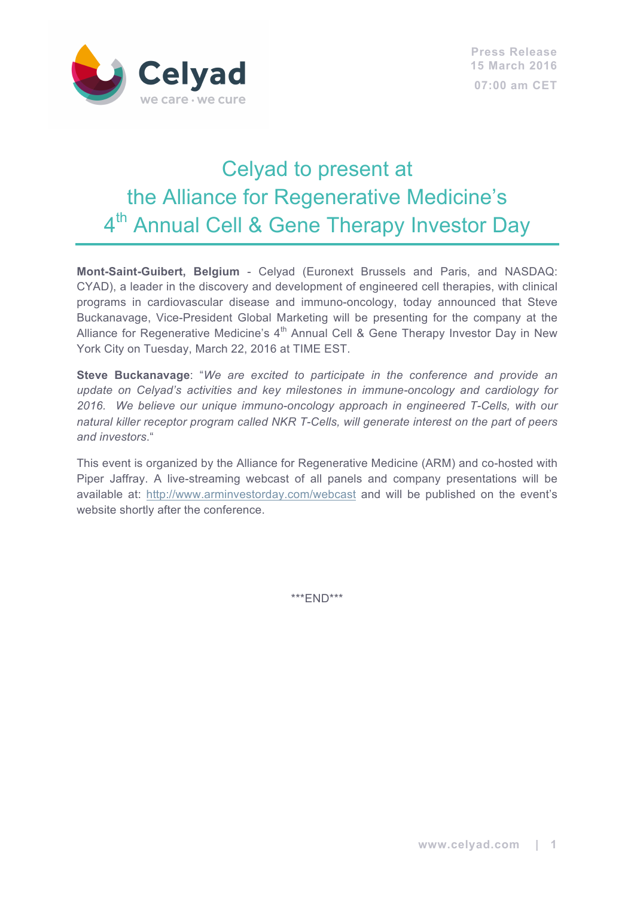

# Celyad to present at the Alliance for Regenerative Medicine's 4<sup>th</sup> Annual Cell & Gene Therapy Investor Day

**Mont-Saint-Guibert, Belgium** - Celyad (Euronext Brussels and Paris, and NASDAQ: CYAD), a leader in the discovery and development of engineered cell therapies, with clinical programs in cardiovascular disease and immuno-oncology, today announced that Steve Buckanavage, Vice-President Global Marketing will be presenting for the company at the Alliance for Regenerative Medicine's  $4<sup>th</sup>$  Annual Cell & Gene Therapy Investor Day in New York City on Tuesday, March 22, 2016 at TIME EST.

**Steve Buckanavage**: "*We are excited to participate in the conference and provide an update on Celyad's activities and key milestones in immune-oncology and cardiology for 2016. We believe our unique immuno-oncology approach in engineered T-Cells, with our natural killer receptor program called NKR T-Cells, will generate interest on the part of peers and investors*."

This event is organized by the Alliance for Regenerative Medicine (ARM) and co-hosted with Piper Jaffray. A live-streaming webcast of all panels and company presentations will be available at: http://www.arminvestorday.com/webcast and will be published on the event's website shortly after the conference.

\*\*\*END\*\*\*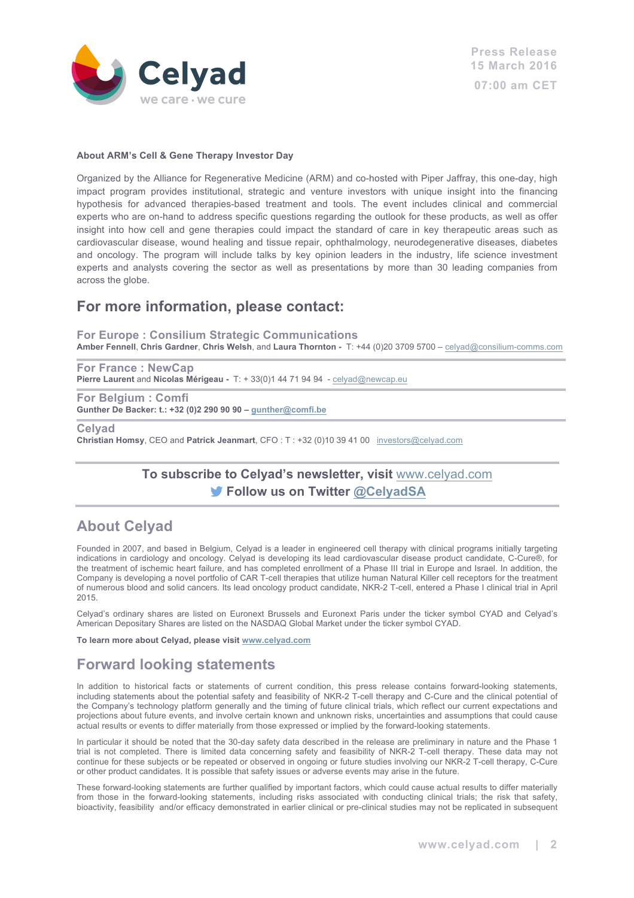

#### **About ARM's Cell & Gene Therapy Investor Day**

Organized by the Alliance for Regenerative Medicine (ARM) and co-hosted with Piper Jaffray, this one-day, high impact program provides institutional, strategic and venture investors with unique insight into the financing hypothesis for advanced therapies-based treatment and tools. The event includes clinical and commercial experts who are on-hand to address specific questions regarding the outlook for these products, as well as offer insight into how cell and gene therapies could impact the standard of care in key therapeutic areas such as cardiovascular disease, wound healing and tissue repair, ophthalmology, neurodegenerative diseases, diabetes and oncology. The program will include talks by key opinion leaders in the industry, life science investment experts and analysts covering the sector as well as presentations by more than 30 leading companies from across the globe.

### **For more information, please contact:**

**For Europe : Consilium Strategic Communications** 

**Amber Fennell**, **Chris Gardner**, **Chris Welsh**, and **Laura Thornton -** T: +44 (0)20 3709 5700 – celyad@consilium-comms.com

**For France : NewCap Pierre Laurent** and **Nicolas Mérigeau -** T: + 33(0)1 44 71 94 94 - celyad@newcap.eu

**For Belgium : Comfi Gunther De Backer: t.: +32 (0)2 290 90 90 – gunther@comfi.be**

**Celyad**

**Christian Homsy**, CEO and **Patrick Jeanmart**, CFO : T : +32 (0)10 39 41 00 investors@celyad.com

#### **To subscribe to Celyad's newsletter, visit** www.celyad.com **Follow us on Twitter @CelyadSA**

#### **About Celyad**

Founded in 2007, and based in Belgium, Celyad is a leader in engineered cell therapy with clinical programs initially targeting indications in cardiology and oncology. Celyad is developing its lead cardiovascular disease product candidate, C-Cure®, for the treatment of ischemic heart failure, and has completed enrollment of a Phase III trial in Europe and Israel. In addition, the Company is developing a novel portfolio of CAR T-cell therapies that utilize human Natural Killer cell receptors for the treatment of numerous blood and solid cancers. Its lead oncology product candidate, NKR-2 T-cell, entered a Phase I clinical trial in April 2015.

Celyad's ordinary shares are listed on Euronext Brussels and Euronext Paris under the ticker symbol CYAD and Celyad's American Depositary Shares are listed on the NASDAQ Global Market under the ticker symbol CYAD.

**To learn more about Celyad, please visit www.celyad.com**

## **Forward looking statements**

In addition to historical facts or statements of current condition, this press release contains forward-looking statements, including statements about the potential safety and feasibility of NKR-2 T-cell therapy and C-Cure and the clinical potential of the Company's technology platform generally and the timing of future clinical trials, which reflect our current expectations and projections about future events, and involve certain known and unknown risks, uncertainties and assumptions that could cause actual results or events to differ materially from those expressed or implied by the forward-looking statements.

In particular it should be noted that the 30-day safety data described in the release are preliminary in nature and the Phase 1 trial is not completed. There is limited data concerning safety and feasibility of NKR-2 T-cell therapy. These data may not continue for these subjects or be repeated or observed in ongoing or future studies involving our NKR-2 T-cell therapy, C-Cure or other product candidates. It is possible that safety issues or adverse events may arise in the future.

These forward-looking statements are further qualified by important factors, which could cause actual results to differ materially from those in the forward-looking statements, including risks associated with conducting clinical trials; the risk that safety, bioactivity, feasibility and/or efficacy demonstrated in earlier clinical or pre-clinical studies may not be replicated in subsequent